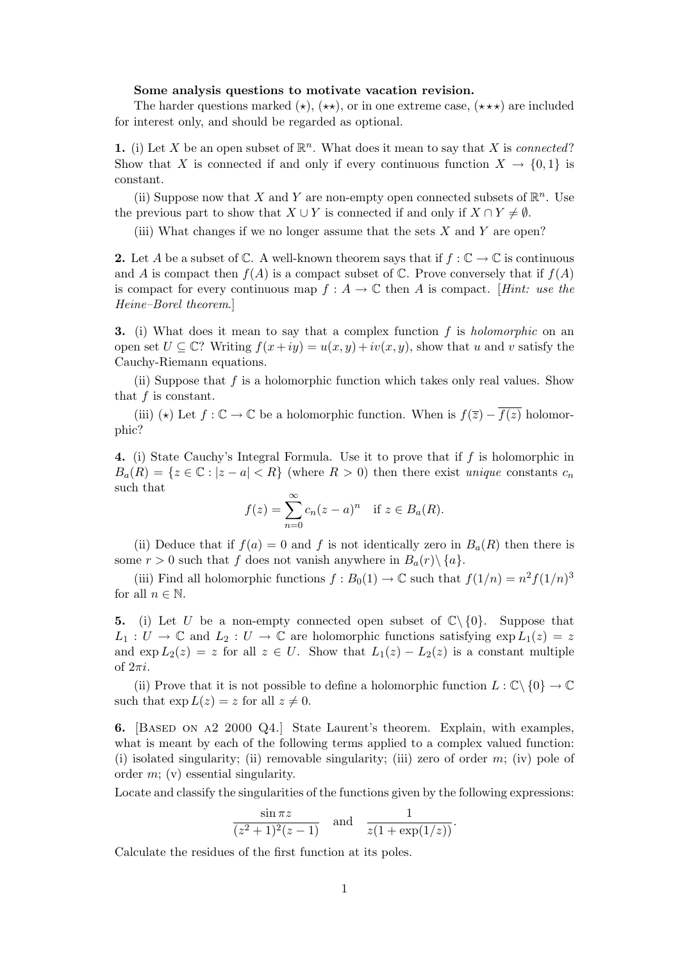## Some analysis questions to motivate vacation revision.

The harder questions marked  $(\star)$ ,  $(\star \star)$ , or in one extreme case,  $(\star \star \star)$  are included for interest only, and should be regarded as optional.

1. (i) Let X be an open subset of  $\mathbb{R}^n$ . What does it mean to say that X is *connected*? Show that X is connected if and only if every continuous function  $X \to \{0,1\}$  is constant.

(ii) Suppose now that X and Y are non-empty open connected subsets of  $\mathbb{R}^n$ . Use the previous part to show that  $X \cup Y$  is connected if and only if  $X \cap Y \neq \emptyset$ .

(iii) What changes if we no longer assume that the sets  $X$  and  $Y$  are open?

2. Let A be a subset of  $\mathbb C$ . A well-known theorem says that if  $f : \mathbb C \to \mathbb C$  is continuous and A is compact then  $f(A)$  is a compact subset of  $\mathbb C$ . Prove conversely that if  $f(A)$ is compact for every continuous map  $f : A \to \mathbb{C}$  then A is compact. [Hint: use the Heine–Borel theorem.]

**3.** (i) What does it mean to say that a complex function  $f$  is *holomorphic* on an open set  $U \subseteq \mathbb{C}$ ? Writing  $f(x+iy) = u(x, y) + iv(x, y)$ , show that u and v satisfy the Cauchy-Riemann equations.

(ii) Suppose that  $f$  is a holomorphic function which takes only real values. Show that f is constant.

(iii) ( $\star$ ) Let  $f : \mathbb{C} \to \mathbb{C}$  be a holomorphic function. When is  $f(\overline{z}) - \overline{f(z)}$  holomorphic?

4. (i) State Cauchy's Integral Formula. Use it to prove that if f is holomorphic in  $B_a(R) = \{z \in \mathbb{C} : |z - a| < R\}$  (where  $R > 0$ ) then there exist unique constants  $c_n$ such that

$$
f(z) = \sum_{n=0}^{\infty} c_n (z - a)^n \quad \text{if } z \in B_a(R).
$$

(ii) Deduce that if  $f(a) = 0$  and f is not identically zero in  $B<sub>a</sub>(R)$  then there is some  $r > 0$  such that f does not vanish anywhere in  $B_a(r) \setminus \{a\}.$ 

(iii) Find all holomorphic functions  $f : B_0(1) \to \mathbb{C}$  such that  $f(1/n) = n^2 f(1/n)^3$ for all  $n \in \mathbb{N}$ .

5. (i) Let U be a non-empty connected open subset of  $\mathbb{C}\setminus\{0\}$ . Suppose that  $L_1: U \to \mathbb{C}$  and  $L_2: U \to \mathbb{C}$  are holomorphic functions satisfying  $\exp L_1(z) = z$ and  $\exp L_2(z) = z$  for all  $z \in U$ . Show that  $L_1(z) - L_2(z)$  is a constant multiple of  $2\pi i$ .

(ii) Prove that it is not possible to define a holomorphic function  $L : \mathbb{C} \setminus \{0\} \to \mathbb{C}$ such that  $\exp L(z) = z$  for all  $z \neq 0$ .

6. [Based on a2 2000 Q4.] State Laurent's theorem. Explain, with examples, what is meant by each of the following terms applied to a complex valued function: (i) isolated singularity; (ii) removable singularity; (iii) zero of order  $m$ ; (iv) pole of order m; (v) essential singularity.

Locate and classify the singularities of the functions given by the following expressions:

$$
\frac{\sin \pi z}{(z^2+1)^2(z-1)} \quad \text{and} \quad \frac{1}{z(1+\exp(1/z))}.
$$

Calculate the residues of the first function at its poles.